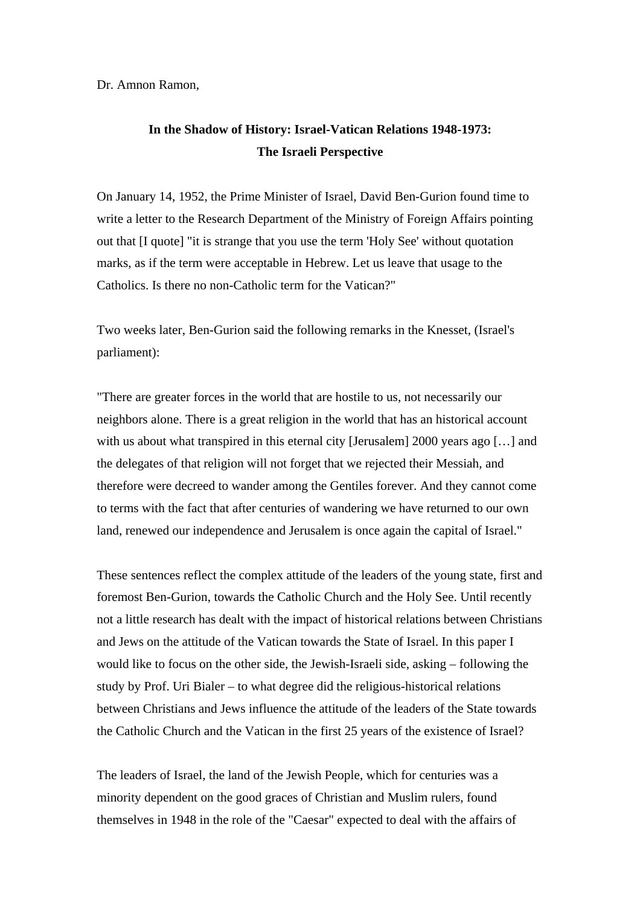Dr. Amnon Ramon,

## **In the Shadow of History: Israel-Vatican Relations 1948-1973: The Israeli Perspective**

On January 14, 1952, the Prime Minister of Israel, David Ben-Gurion found time to write a letter to the Research Department of the Ministry of Foreign Affairs pointing out that [I quote] "it is strange that you use the term 'Holy See' without quotation marks, as if the term were acceptable in Hebrew. Let us leave that usage to the Catholics. Is there no non-Catholic term for the Vatican?"

Two weeks later, Ben-Gurion said the following remarks in the Knesset, (Israel's parliament):

"There are greater forces in the world that are hostile to us, not necessarily our neighbors alone. There is a great religion in the world that has an historical account with us about what transpired in this eternal city [Jerusalem] 2000 years ago [...] and the delegates of that religion will not forget that we rejected their Messiah, and therefore were decreed to wander among the Gentiles forever. And they cannot come to terms with the fact that after centuries of wandering we have returned to our own land, renewed our independence and Jerusalem is once again the capital of Israel."

These sentences reflect the complex attitude of the leaders of the young state, first and foremost Ben-Gurion, towards the Catholic Church and the Holy See. Until recently not a little research has dealt with the impact of historical relations between Christians and Jews on the attitude of the Vatican towards the State of Israel. In this paper I would like to focus on the other side, the Jewish-Israeli side, asking – following the study by Prof. Uri Bialer – to what degree did the religious-historical relations between Christians and Jews influence the attitude of the leaders of the State towards the Catholic Church and the Vatican in the first 25 years of the existence of Israel?

The leaders of Israel, the land of the Jewish People, which for centuries was a minority dependent on the good graces of Christian and Muslim rulers, found themselves in 1948 in the role of the "Caesar" expected to deal with the affairs of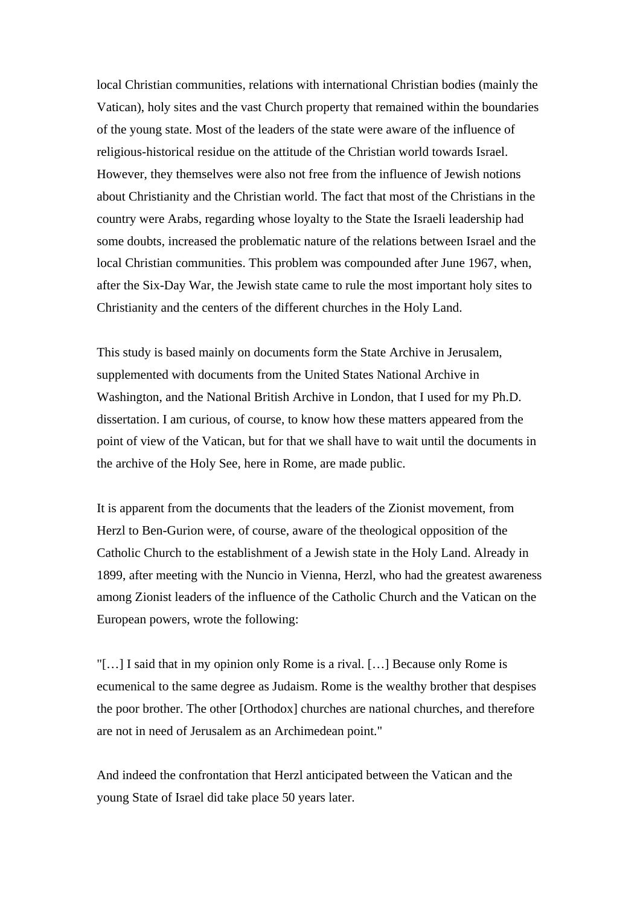local Christian communities, relations with international Christian bodies (mainly the Vatican), holy sites and the vast Church property that remained within the boundaries of the young state. Most of the leaders of the state were aware of the influence of religious-historical residue on the attitude of the Christian world towards Israel. However, they themselves were also not free from the influence of Jewish notions about Christianity and the Christian world. The fact that most of the Christians in the country were Arabs, regarding whose loyalty to the State the Israeli leadership had some doubts, increased the problematic nature of the relations between Israel and the local Christian communities. This problem was compounded after June 1967, when, after the Six-Day War, the Jewish state came to rule the most important holy sites to Christianity and the centers of the different churches in the Holy Land.

This study is based mainly on documents form the State Archive in Jerusalem, supplemented with documents from the United States National Archive in Washington, and the National British Archive in London, that I used for my Ph.D. dissertation. I am curious, of course, to know how these matters appeared from the point of view of the Vatican, but for that we shall have to wait until the documents in the archive of the Holy See, here in Rome, are made public.

It is apparent from the documents that the leaders of the Zionist movement, from Herzl to Ben-Gurion were, of course, aware of the theological opposition of the Catholic Church to the establishment of a Jewish state in the Holy Land. Already in 1899, after meeting with the Nuncio in Vienna, Herzl, who had the greatest awareness among Zionist leaders of the influence of the Catholic Church and the Vatican on the European powers, wrote the following:

"[…] I said that in my opinion only Rome is a rival. […] Because only Rome is ecumenical to the same degree as Judaism. Rome is the wealthy brother that despises the poor brother. The other [Orthodox] churches are national churches, and therefore are not in need of Jerusalem as an Archimedean point."

And indeed the confrontation that Herzl anticipated between the Vatican and the young State of Israel did take place 50 years later.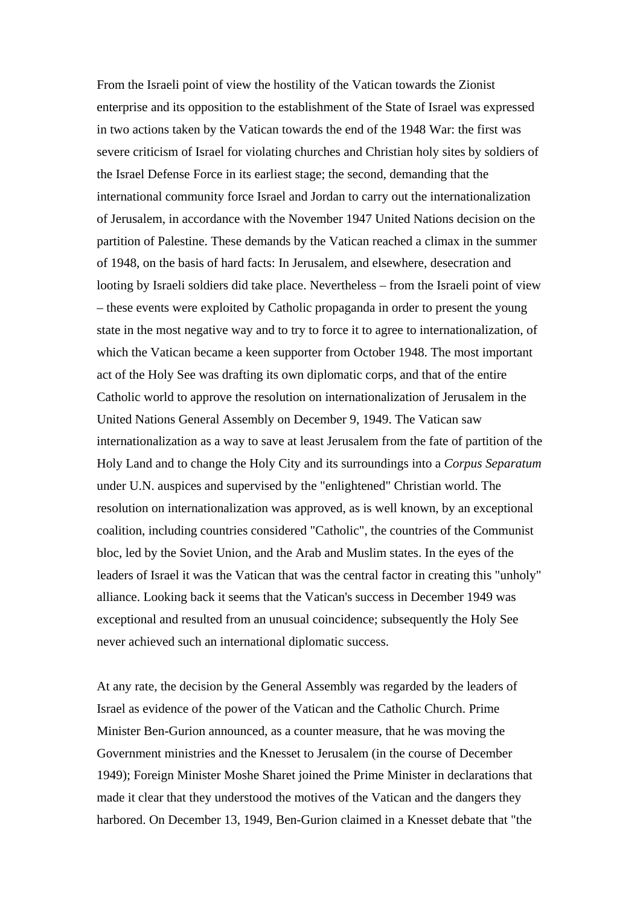From the Israeli point of view the hostility of the Vatican towards the Zionist enterprise and its opposition to the establishment of the State of Israel was expressed in two actions taken by the Vatican towards the end of the 1948 War: the first was severe criticism of Israel for violating churches and Christian holy sites by soldiers of the Israel Defense Force in its earliest stage; the second, demanding that the international community force Israel and Jordan to carry out the internationalization of Jerusalem, in accordance with the November 1947 United Nations decision on the partition of Palestine. These demands by the Vatican reached a climax in the summer of 1948, on the basis of hard facts: In Jerusalem, and elsewhere, desecration and looting by Israeli soldiers did take place. Nevertheless – from the Israeli point of view – these events were exploited by Catholic propaganda in order to present the young state in the most negative way and to try to force it to agree to internationalization, of which the Vatican became a keen supporter from October 1948. The most important act of the Holy See was drafting its own diplomatic corps, and that of the entire Catholic world to approve the resolution on internationalization of Jerusalem in the United Nations General Assembly on December 9, 1949. The Vatican saw internationalization as a way to save at least Jerusalem from the fate of partition of the Holy Land and to change the Holy City and its surroundings into a *Corpus Separatum* under U.N. auspices and supervised by the "enlightened" Christian world. The resolution on internationalization was approved, as is well known, by an exceptional coalition, including countries considered "Catholic", the countries of the Communist bloc, led by the Soviet Union, and the Arab and Muslim states. In the eyes of the leaders of Israel it was the Vatican that was the central factor in creating this "unholy" alliance. Looking back it seems that the Vatican's success in December 1949 was exceptional and resulted from an unusual coincidence; subsequently the Holy See never achieved such an international diplomatic success.

At any rate, the decision by the General Assembly was regarded by the leaders of Israel as evidence of the power of the Vatican and the Catholic Church. Prime Minister Ben-Gurion announced, as a counter measure, that he was moving the Government ministries and the Knesset to Jerusalem (in the course of December 1949); Foreign Minister Moshe Sharet joined the Prime Minister in declarations that made it clear that they understood the motives of the Vatican and the dangers they harbored. On December 13, 1949, Ben-Gurion claimed in a Knesset debate that "the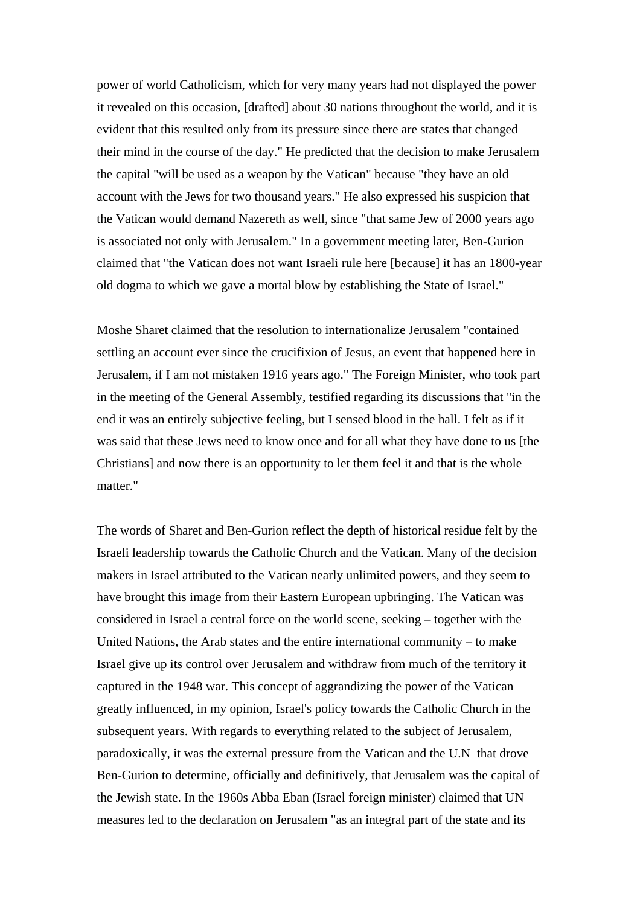power of world Catholicism, which for very many years had not displayed the power it revealed on this occasion, [drafted] about 30 nations throughout the world, and it is evident that this resulted only from its pressure since there are states that changed their mind in the course of the day." He predicted that the decision to make Jerusalem the capital "will be used as a weapon by the Vatican" because "they have an old account with the Jews for two thousand years." He also expressed his suspicion that the Vatican would demand Nazereth as well, since "that same Jew of 2000 years ago is associated not only with Jerusalem." In a government meeting later, Ben-Gurion claimed that "the Vatican does not want Israeli rule here [because] it has an 1800-year old dogma to which we gave a mortal blow by establishing the State of Israel."

Moshe Sharet claimed that the resolution to internationalize Jerusalem "contained settling an account ever since the crucifixion of Jesus, an event that happened here in Jerusalem, if I am not mistaken 1916 years ago." The Foreign Minister, who took part in the meeting of the General Assembly, testified regarding its discussions that "in the end it was an entirely subjective feeling, but I sensed blood in the hall. I felt as if it was said that these Jews need to know once and for all what they have done to us [the Christians] and now there is an opportunity to let them feel it and that is the whole matter."

The words of Sharet and Ben-Gurion reflect the depth of historical residue felt by the Israeli leadership towards the Catholic Church and the Vatican. Many of the decision makers in Israel attributed to the Vatican nearly unlimited powers, and they seem to have brought this image from their Eastern European upbringing. The Vatican was considered in Israel a central force on the world scene, seeking – together with the United Nations, the Arab states and the entire international community – to make Israel give up its control over Jerusalem and withdraw from much of the territory it captured in the 1948 war. This concept of aggrandizing the power of the Vatican greatly influenced, in my opinion, Israel's policy towards the Catholic Church in the subsequent years. With regards to everything related to the subject of Jerusalem, paradoxically, it was the external pressure from the Vatican and the U.N that drove Ben-Gurion to determine, officially and definitively, that Jerusalem was the capital of the Jewish state. In the 1960s Abba Eban (Israel foreign minister) claimed that UN measures led to the declaration on Jerusalem "as an integral part of the state and its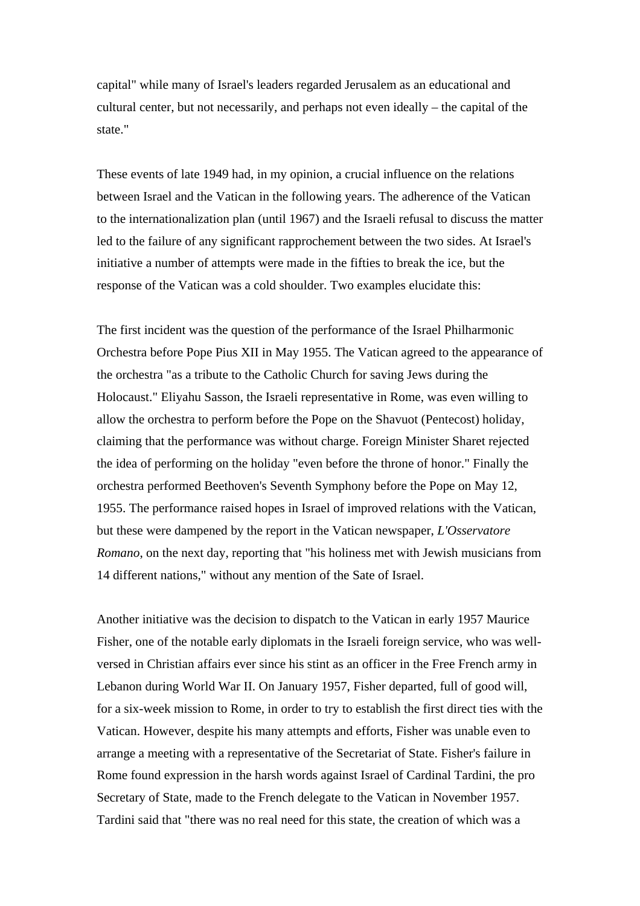capital" while many of Israel's leaders regarded Jerusalem as an educational and cultural center, but not necessarily, and perhaps not even ideally – the capital of the state."

These events of late 1949 had, in my opinion, a crucial influence on the relations between Israel and the Vatican in the following years. The adherence of the Vatican to the internationalization plan (until 1967) and the Israeli refusal to discuss the matter led to the failure of any significant rapprochement between the two sides. At Israel's initiative a number of attempts were made in the fifties to break the ice, but the response of the Vatican was a cold shoulder. Two examples elucidate this:

The first incident was the question of the performance of the Israel Philharmonic Orchestra before Pope Pius XII in May 1955. The Vatican agreed to the appearance of the orchestra "as a tribute to the Catholic Church for saving Jews during the Holocaust." Eliyahu Sasson, the Israeli representative in Rome, was even willing to allow the orchestra to perform before the Pope on the Shavuot (Pentecost) holiday, claiming that the performance was without charge. Foreign Minister Sharet rejected the idea of performing on the holiday "even before the throne of honor." Finally the orchestra performed Beethoven's Seventh Symphony before the Pope on May 12, 1955. The performance raised hopes in Israel of improved relations with the Vatican, but these were dampened by the report in the Vatican newspaper, *L'Osservatore Romano*, on the next day, reporting that "his holiness met with Jewish musicians from 14 different nations," without any mention of the Sate of Israel.

Another initiative was the decision to dispatch to the Vatican in early 1957 Maurice Fisher, one of the notable early diplomats in the Israeli foreign service, who was wellversed in Christian affairs ever since his stint as an officer in the Free French army in Lebanon during World War II. On January 1957, Fisher departed, full of good will, for a six-week mission to Rome, in order to try to establish the first direct ties with the Vatican. However, despite his many attempts and efforts, Fisher was unable even to arrange a meeting with a representative of the Secretariat of State. Fisher's failure in Rome found expression in the harsh words against Israel of Cardinal Tardini, the pro Secretary of State, made to the French delegate to the Vatican in November 1957. Tardini said that "there was no real need for this state, the creation of which was a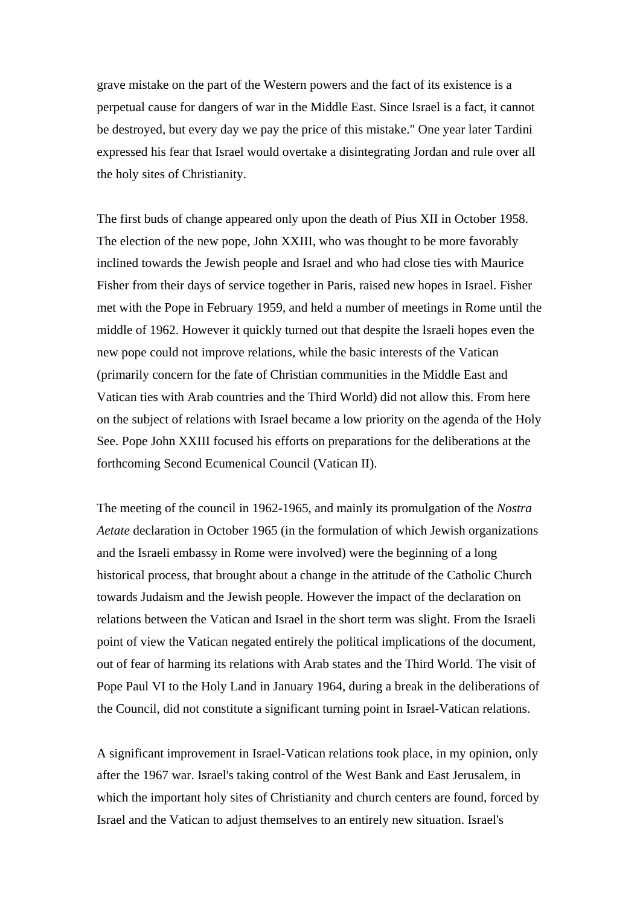grave mistake on the part of the Western powers and the fact of its existence is a perpetual cause for dangers of war in the Middle East. Since Israel is a fact, it cannot be destroyed, but every day we pay the price of this mistake." One year later Tardini expressed his fear that Israel would overtake a disintegrating Jordan and rule over all the holy sites of Christianity.

The first buds of change appeared only upon the death of Pius XII in October 1958. The election of the new pope, John XXIII, who was thought to be more favorably inclined towards the Jewish people and Israel and who had close ties with Maurice Fisher from their days of service together in Paris, raised new hopes in Israel. Fisher met with the Pope in February 1959, and held a number of meetings in Rome until the middle of 1962. However it quickly turned out that despite the Israeli hopes even the new pope could not improve relations, while the basic interests of the Vatican (primarily concern for the fate of Christian communities in the Middle East and Vatican ties with Arab countries and the Third World) did not allow this. From here on the subject of relations with Israel became a low priority on the agenda of the Holy See. Pope John XXIII focused his efforts on preparations for the deliberations at the forthcoming Second Ecumenical Council (Vatican II).

The meeting of the council in 1962-1965, and mainly its promulgation of the *Nostra Aetate* declaration in October 1965 (in the formulation of which Jewish organizations and the Israeli embassy in Rome were involved) were the beginning of a long historical process, that brought about a change in the attitude of the Catholic Church towards Judaism and the Jewish people. However the impact of the declaration on relations between the Vatican and Israel in the short term was slight. From the Israeli point of view the Vatican negated entirely the political implications of the document, out of fear of harming its relations with Arab states and the Third World. The visit of Pope Paul VI to the Holy Land in January 1964, during a break in the deliberations of the Council, did not constitute a significant turning point in Israel-Vatican relations.

A significant improvement in Israel-Vatican relations took place, in my opinion, only after the 1967 war. Israel's taking control of the West Bank and East Jerusalem, in which the important holy sites of Christianity and church centers are found, forced by Israel and the Vatican to adjust themselves to an entirely new situation. Israel's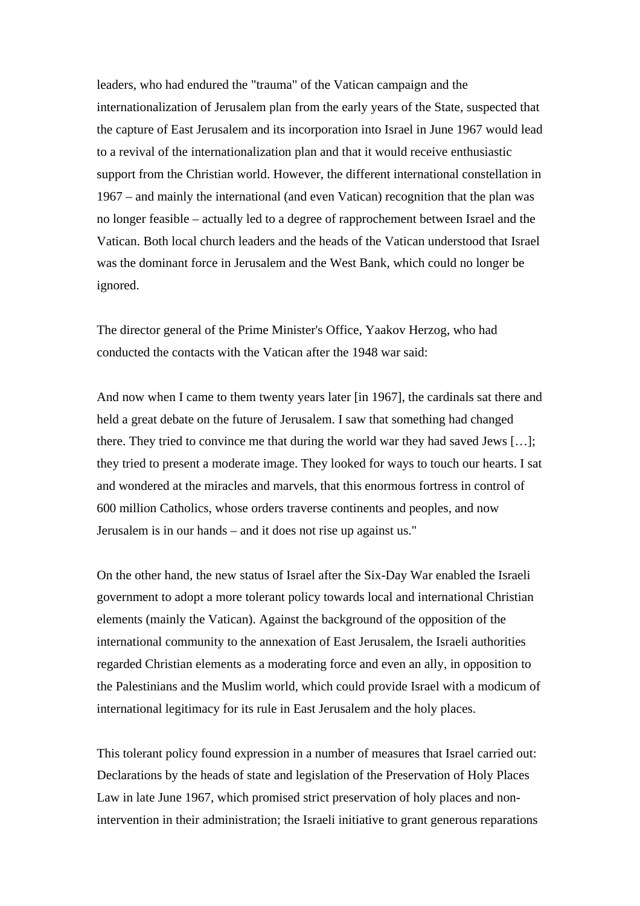leaders, who had endured the "trauma" of the Vatican campaign and the internationalization of Jerusalem plan from the early years of the State, suspected that the capture of East Jerusalem and its incorporation into Israel in June 1967 would lead to a revival of the internationalization plan and that it would receive enthusiastic support from the Christian world. However, the different international constellation in 1967 – and mainly the international (and even Vatican) recognition that the plan was no longer feasible – actually led to a degree of rapprochement between Israel and the Vatican. Both local church leaders and the heads of the Vatican understood that Israel was the dominant force in Jerusalem and the West Bank, which could no longer be ignored.

The director general of the Prime Minister's Office, Yaakov Herzog, who had conducted the contacts with the Vatican after the 1948 war said:

And now when I came to them twenty years later [in 1967], the cardinals sat there and held a great debate on the future of Jerusalem. I saw that something had changed there. They tried to convince me that during the world war they had saved Jews […]; they tried to present a moderate image. They looked for ways to touch our hearts. I sat and wondered at the miracles and marvels, that this enormous fortress in control of 600 million Catholics, whose orders traverse continents and peoples, and now Jerusalem is in our hands – and it does not rise up against us."

On the other hand, the new status of Israel after the Six-Day War enabled the Israeli government to adopt a more tolerant policy towards local and international Christian elements (mainly the Vatican). Against the background of the opposition of the international community to the annexation of East Jerusalem, the Israeli authorities regarded Christian elements as a moderating force and even an ally, in opposition to the Palestinians and the Muslim world, which could provide Israel with a modicum of international legitimacy for its rule in East Jerusalem and the holy places.

This tolerant policy found expression in a number of measures that Israel carried out: Declarations by the heads of state and legislation of the Preservation of Holy Places Law in late June 1967, which promised strict preservation of holy places and nonintervention in their administration; the Israeli initiative to grant generous reparations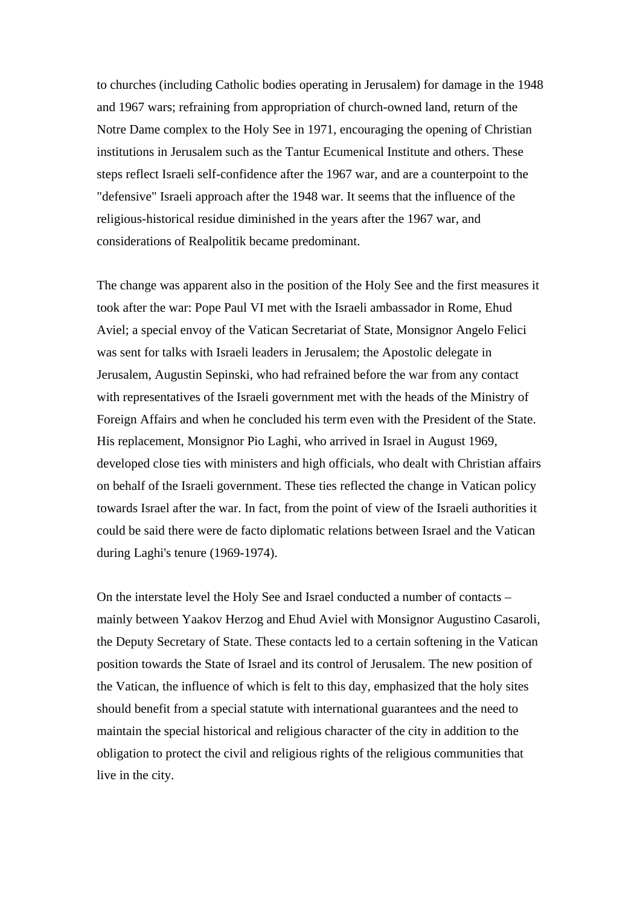to churches (including Catholic bodies operating in Jerusalem) for damage in the 1948 and 1967 wars; refraining from appropriation of church-owned land, return of the Notre Dame complex to the Holy See in 1971, encouraging the opening of Christian institutions in Jerusalem such as the Tantur Ecumenical Institute and others. These steps reflect Israeli self-confidence after the 1967 war, and are a counterpoint to the "defensive" Israeli approach after the 1948 war. It seems that the influence of the religious-historical residue diminished in the years after the 1967 war, and considerations of Realpolitik became predominant.

The change was apparent also in the position of the Holy See and the first measures it took after the war: Pope Paul VI met with the Israeli ambassador in Rome, Ehud Aviel; a special envoy of the Vatican Secretariat of State, Monsignor Angelo Felici was sent for talks with Israeli leaders in Jerusalem; the Apostolic delegate in Jerusalem, Augustin Sepinski, who had refrained before the war from any contact with representatives of the Israeli government met with the heads of the Ministry of Foreign Affairs and when he concluded his term even with the President of the State. His replacement, Monsignor Pio Laghi, who arrived in Israel in August 1969, developed close ties with ministers and high officials, who dealt with Christian affairs on behalf of the Israeli government. These ties reflected the change in Vatican policy towards Israel after the war. In fact, from the point of view of the Israeli authorities it could be said there were de facto diplomatic relations between Israel and the Vatican during Laghi's tenure (1969-1974).

On the interstate level the Holy See and Israel conducted a number of contacts – mainly between Yaakov Herzog and Ehud Aviel with Monsignor Augustino Casaroli, the Deputy Secretary of State. These contacts led to a certain softening in the Vatican position towards the State of Israel and its control of Jerusalem. The new position of the Vatican, the influence of which is felt to this day, emphasized that the holy sites should benefit from a special statute with international guarantees and the need to maintain the special historical and religious character of the city in addition to the obligation to protect the civil and religious rights of the religious communities that live in the city.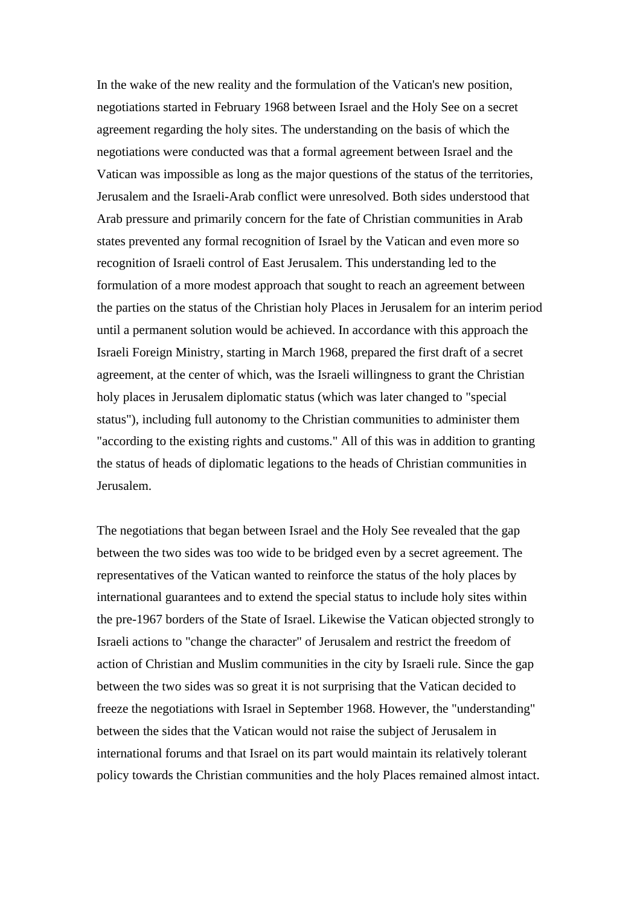In the wake of the new reality and the formulation of the Vatican's new position, negotiations started in February 1968 between Israel and the Holy See on a secret agreement regarding the holy sites. The understanding on the basis of which the negotiations were conducted was that a formal agreement between Israel and the Vatican was impossible as long as the major questions of the status of the territories, Jerusalem and the Israeli-Arab conflict were unresolved. Both sides understood that Arab pressure and primarily concern for the fate of Christian communities in Arab states prevented any formal recognition of Israel by the Vatican and even more so recognition of Israeli control of East Jerusalem. This understanding led to the formulation of a more modest approach that sought to reach an agreement between the parties on the status of the Christian holy Places in Jerusalem for an interim period until a permanent solution would be achieved. In accordance with this approach the Israeli Foreign Ministry, starting in March 1968, prepared the first draft of a secret agreement, at the center of which, was the Israeli willingness to grant the Christian holy places in Jerusalem diplomatic status (which was later changed to "special status"), including full autonomy to the Christian communities to administer them "according to the existing rights and customs." All of this was in addition to granting the status of heads of diplomatic legations to the heads of Christian communities in Jerusalem.

The negotiations that began between Israel and the Holy See revealed that the gap between the two sides was too wide to be bridged even by a secret agreement. The representatives of the Vatican wanted to reinforce the status of the holy places by international guarantees and to extend the special status to include holy sites within the pre-1967 borders of the State of Israel. Likewise the Vatican objected strongly to Israeli actions to "change the character" of Jerusalem and restrict the freedom of action of Christian and Muslim communities in the city by Israeli rule. Since the gap between the two sides was so great it is not surprising that the Vatican decided to freeze the negotiations with Israel in September 1968. However, the "understanding" between the sides that the Vatican would not raise the subject of Jerusalem in international forums and that Israel on its part would maintain its relatively tolerant policy towards the Christian communities and the holy Places remained almost intact.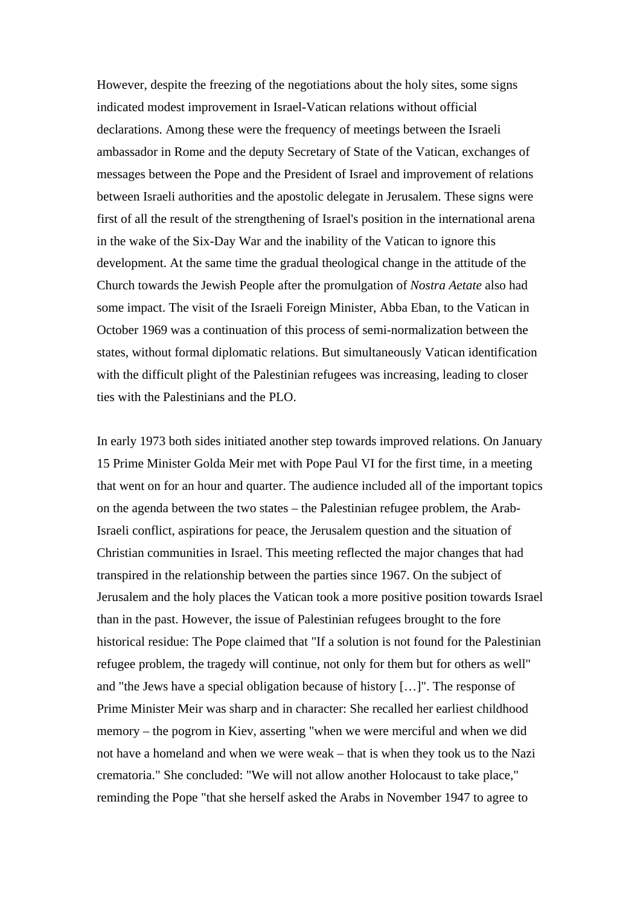However, despite the freezing of the negotiations about the holy sites, some signs indicated modest improvement in Israel-Vatican relations without official declarations. Among these were the frequency of meetings between the Israeli ambassador in Rome and the deputy Secretary of State of the Vatican, exchanges of messages between the Pope and the President of Israel and improvement of relations between Israeli authorities and the apostolic delegate in Jerusalem. These signs were first of all the result of the strengthening of Israel's position in the international arena in the wake of the Six-Day War and the inability of the Vatican to ignore this development. At the same time the gradual theological change in the attitude of the Church towards the Jewish People after the promulgation of *Nostra Aetate* also had some impact. The visit of the Israeli Foreign Minister, Abba Eban, to the Vatican in October 1969 was a continuation of this process of semi-normalization between the states, without formal diplomatic relations. But simultaneously Vatican identification with the difficult plight of the Palestinian refugees was increasing, leading to closer ties with the Palestinians and the PLO.

In early 1973 both sides initiated another step towards improved relations. On January 15 Prime Minister Golda Meir met with Pope Paul VI for the first time, in a meeting that went on for an hour and quarter. The audience included all of the important topics on the agenda between the two states – the Palestinian refugee problem, the Arab-Israeli conflict, aspirations for peace, the Jerusalem question and the situation of Christian communities in Israel. This meeting reflected the major changes that had transpired in the relationship between the parties since 1967. On the subject of Jerusalem and the holy places the Vatican took a more positive position towards Israel than in the past. However, the issue of Palestinian refugees brought to the fore historical residue: The Pope claimed that "If a solution is not found for the Palestinian refugee problem, the tragedy will continue, not only for them but for others as well" and "the Jews have a special obligation because of history […]". The response of Prime Minister Meir was sharp and in character: She recalled her earliest childhood memory – the pogrom in Kiev, asserting "when we were merciful and when we did not have a homeland and when we were weak – that is when they took us to the Nazi crematoria." She concluded: "We will not allow another Holocaust to take place," reminding the Pope "that she herself asked the Arabs in November 1947 to agree to